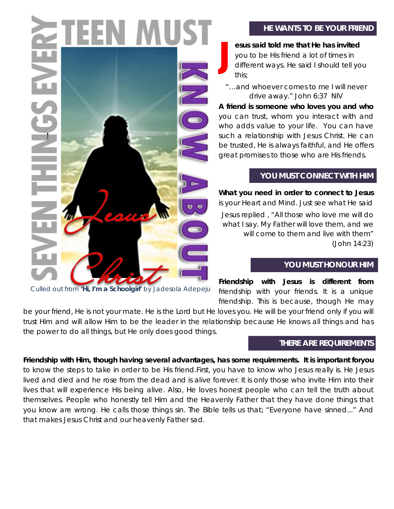# **HE WANTS TO BE YOUR FRIEND**

**esus said told me that He has invited** you to be His friend a lot of times in different ways. He said I should tell you this; **J**

*"…and whoever comes to me I will never drive away." John 6:37 NIV*

**A friend is someone who loves you and who** you can trust, whom you interact with and who adds value to your life. You can have such a relationship with Jesus Christ. He can be trusted, He is always faithful, and He offers great promises to those who are His friends.

# **YOU MUST CONNECT WITH HIM**

**What you need in order to connect to Jesus** is your Heart and Mind. Just see what He said *Jesus replied , "All those who love me will do what I say. My Father will love them, and we will come to them and live with them" (John 14:23)*

# **YOU MUST HONOUR HIM**

**Friendship with Jesus is different from**  friendship with your friends. It is a unique friendship. This is because, though He may

be your friend, He is not your mate. He is the Lord but He loves you. He will be your friend only if you will trust Him and will allow Him to be the leader in the relationship because He knows all things and has the power to do all things, but He only does good things.

# **THERE ARE REQUIREMENTS**

**Friendship with Him, though having several advantages, has some requirements. It is important foryou** to know the steps to take in order to be His friend.First, you have to know who Jesus really is. He Jesus lived and died and he rose from the dead and is alive forever. It is only those who invite Him into their lives that will experience His being alive. Also, He loves honest people who can tell the truth about themselves. People who honestly tell Him and the Heavenly Father that they have done things that you know are wrong. He calls those things sin. The Bible tells us that; "Everyone have sinned..." And that makes Jesus Christ and our heavenly Father sad.